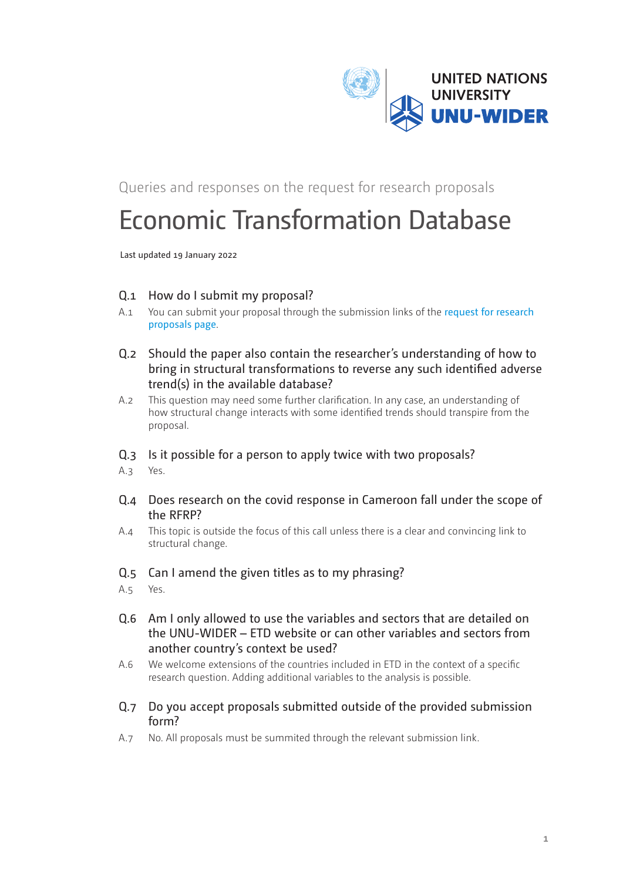

Queries and responses on the request for research proposals

# Economic Transformation Database

Last updated 19 January 2022

- Q.1 How do I submit my proposal?
- A.1 You can submit your proposal through the [submission links](https://www.wider.unu.edu/opportunity/economic-transformation-database) of the [request for research](https://www.wider.unu.edu/opportunity/economic-transformation-database)  [proposals page](https://www.wider.unu.edu/opportunity/economic-transformation-database).
- Q.2 Should the paper also contain the researcher's understanding of how to bring in structural transformations to reverse any such identified adverse trend(s) in the available database?
- A.2 This question may need some further clarification. In any case, an understanding of how structural change interacts with some identified trends should transpire from the proposal.
- Q.3 Is it possible for a person to apply twice with two proposals?
- A.3 Yes.
- Q.4 Does research on the covid response in Cameroon fall under the scope of the RFRP?
- A.4 This topic is outside the focus of this call unless there is a clear and convincing link to structural change.
- Q.5 Can I amend the given titles as to my phrasing?
- A.5 Yes.
- Q.6 Am I only allowed to use the variables and sectors that are detailed on the UNU-WIDER – ETD website or can other variables and sectors from another country's context be used?
- A.6 We welcome extensions of the countries included in ETD in the context of a specific research question. Adding additional variables to the analysis is possible.
- Q.7 Do you accept proposals submitted outside of the provided submission form?
- A.7 No. All proposals must be summited through the relevant submission link.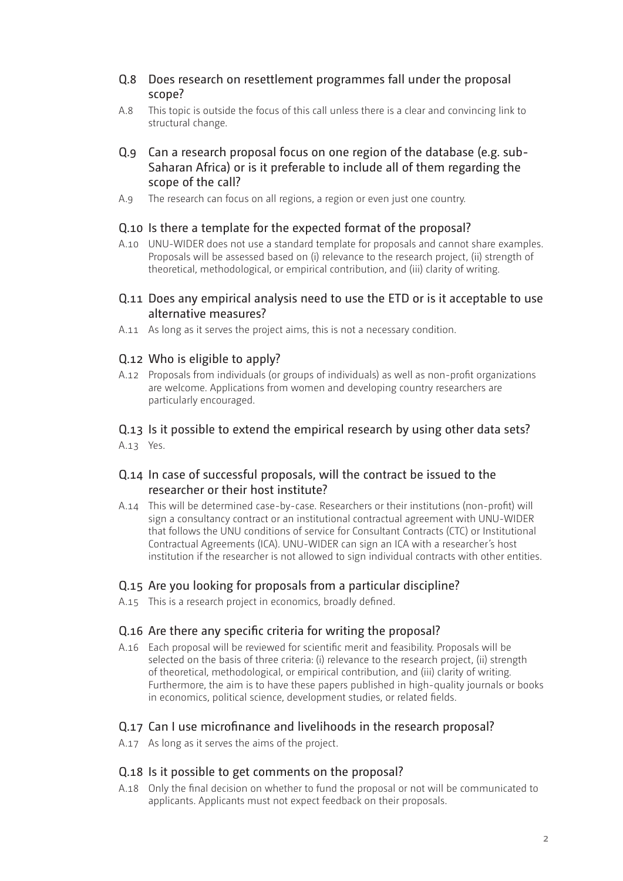### Q.8 Does research on resettlement programmes fall under the proposal scope?

A.8 This topic is outside the focus of this call unless there is a clear and convincing link to structural change.

## Q.9 Can a research proposal focus on one region of the database (e.g. sub-Saharan Africa) or is it preferable to include all of them regarding the scope of the call?

A.9 The research can focus on all regions, a region or even just one country.

# Q.10 Is there a template for the expected format of the proposal?

A.10 UNU-WIDER does not use a standard template for proposals and cannot share examples. Proposals will be assessed based on (i) relevance to the research project, (ii) strength of theoretical, methodological, or empirical contribution, and (iii) clarity of writing.

#### Q.11 Does any empirical analysis need to use the ETD or is it acceptable to use alternative measures?

A.11 As long as it serves the project aims, this is not a necessary condition.

# Q.12 Who is eligible to apply?

A.12 Proposals from individuals (or groups of individuals) as well as non-profit organizations are welcome. Applications from women and developing country researchers are particularly encouraged.

# Q.13 Is it possible to extend the empirical research by using other data sets?

A.13 Yes.

# Q.14 In case of successful proposals, will the contract be issued to the researcher or their host institute?

A.14 This will be determined case-by-case. Researchers or their institutions (non-profit) will sign a consultancy contract or an institutional contractual agreement with UNU-WIDER that follows the UNU conditions of service for Consultant Contracts (CTC) or Institutional Contractual Agreements (ICA). UNU-WIDER can sign an ICA with a researcher's host institution if the researcher is not allowed to sign individual contracts with other entities.

## Q.15 Are you looking for proposals from a particular discipline?

A.15 This is a research project in economics, broadly defined.

## Q.16 Are there any specific criteria for writing the proposal?

A.16 Each proposal will be reviewed for scientific merit and feasibility. Proposals will be selected on the basis of three criteria: (i) relevance to the research project, (ii) strength of theoretical, methodological, or empirical contribution, and (iii) clarity of writing. Furthermore, the aim is to have these papers published in high-quality journals or books in economics, political science, development studies, or related fields.

## Q.17 Can I use microfinance and livelihoods in the research proposal?

A.17 As long as it serves the aims of the project.

#### Q.18 Is it possible to get comments on the proposal?

A.18 Only the final decision on whether to fund the proposal or not will be communicated to applicants. Applicants must not expect feedback on their proposals.